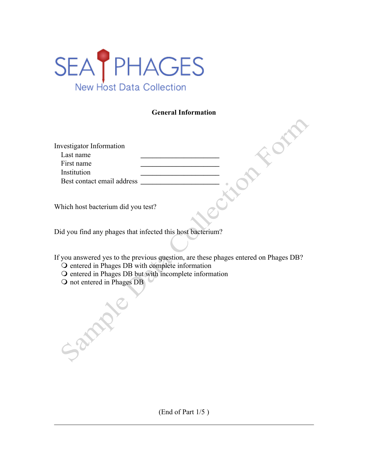

### **General Information**

| Investigator Information           |  |
|------------------------------------|--|
| Last name                          |  |
| First name                         |  |
| Institution                        |  |
| Best contact email address         |  |
|                                    |  |
|                                    |  |
| Which host bacterium did you test? |  |

Did you find any phages that infected this host bacterium?

If you answered yes to the previous question, are these phages entered on Phages DB?

- O entered in Phages DB with complete information
- O entered in Phages DB but with incomplete information
- O not entered in Phages DB

Sannie

(End of Part 1/5 )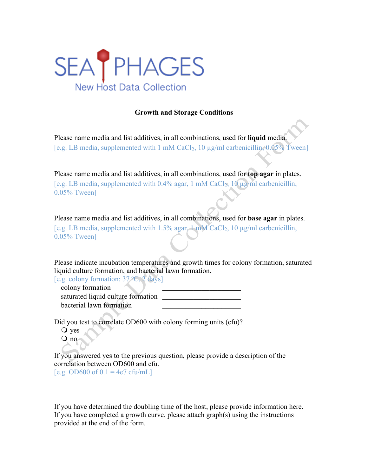

# **Growth and Storage Conditions**

Please name media and list additives, in all combinations, used for **liquid** media. [e.g. LB media, supplemented with 1 mM CaCl<sub>2</sub>, 10 µg/ml carbenicillin, 0.05% Tween]

Please name media and list additives, in all combinations, used for **top agar** in plates. [e.g. LB media, supplemented with  $0.4\%$  agar, 1 mM CaCl<sub>2</sub>, 10 µg/ml carbenicillin, 0.05% Tween]

Please name media and list additives, in all combinations, used for **base agar** in plates. [e.g. LB media, supplemented with  $1.5\%$  agar,  $1 \text{ mM }$  CaCl<sub>2</sub>, 10  $\mu$ g/ml carbenicillin, 0.05% Tween]

Please indicate incubation temperatures and growth times for colony formation, saturated liquid culture formation, and bacterial lawn formation.

[e.g. colony formation: 37 ºC, 2 days]

 colony formation \_\_\_\_\_\_\_\_\_\_\_\_\_\_\_\_\_\_\_\_ saturated liquid culture formation \_ bacterial lawn formation

Did you test to correlate OD600 with colony forming units (cfu)?

Q yes  $Q$  no

If you answered yes to the previous question, please provide a description of the correlation between OD600 and cfu.

 $[e.g. OD600 of 0.1 = 4e7 cfu/mL]$ 

If you have determined the doubling time of the host, please provide information here. If you have completed a growth curve, please attach graph(s) using the instructions provided at the end of the form.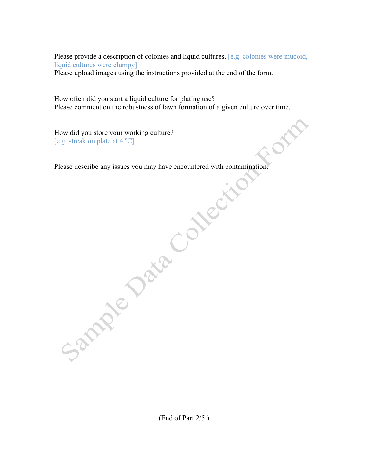Please provide a description of colonies and liquid cultures. [e.g. colonies were mucoid, liquid cultures were clumpy]

ole

Please upload images using the instructions provided at the end of the form.

How often did you start a liquid culture for plating use? Please comment on the robustness of lawn formation of a given culture over time.

How did you store your working culture? [e.g. streak on plate at 4 ºC]

Please describe any issues you may have encountered with contamination.

(End of Part 2/5 )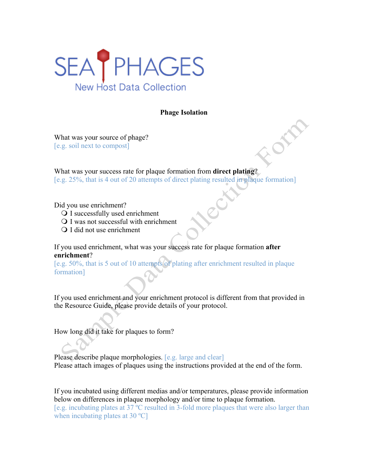

#### **Phage Isolation**

What was your source of phage? [e.g. soil next to compost]

What was your success rate for plaque formation from **direct plating**? [e.g. 25%, that is 4 out of 20 attempts of direct plating resulted in plaque formation]

Did you use enrichment?

- Q I successfully used enrichment
- $\Omega$  I was not successful with enrichment
- Q I did not use enrichment

If you used enrichment, what was your success rate for plaque formation **after enrichment**?

[e.g. 50%, that is 5 out of 10 attempts of plating after enrichment resulted in plaque formation]

If you used enrichment and your enrichment protocol is different from that provided in the Resource Guide, please provide details of your protocol.

How long did it take for plaques to form?

Please describe plaque morphologies. [e.g. large and clear] Please attach images of plaques using the instructions provided at the end of the form.

If you incubated using different medias and/or temperatures, please provide information below on differences in plaque morphology and/or time to plaque formation. [e.g. incubating plates at 37 ºC resulted in 3-fold more plaques that were also larger than when incubating plates at 30 °C]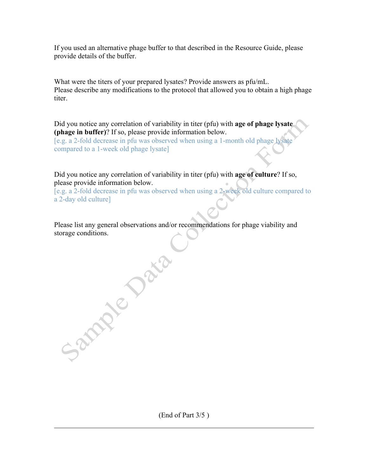If you used an alternative phage buffer to that described in the Resource Guide, please provide details of the buffer.

What were the titers of your prepared lysates? Provide answers as pfu/mL. Please describe any modifications to the protocol that allowed you to obtain a high phage titer.

Did you notice any correlation of variability in titer (pfu) with **age of phage lysate (phage in buffer)**? If so, please provide information below.

[e.g. a 2-fold decrease in pfu was observed when using a 1-month old phage lysate compared to a 1-week old phage lysate]

Did you notice any correlation of variability in titer (pfu) with **age of culture**? If so, please provide information below.

[e.g. a 2-fold decrease in pfu was observed when using a 2-week old culture compared to a 2-day old culture]

Please list any general observations and/or recommendations for phage viability and storage conditions.

Sample Jan

(End of Part 3/5 )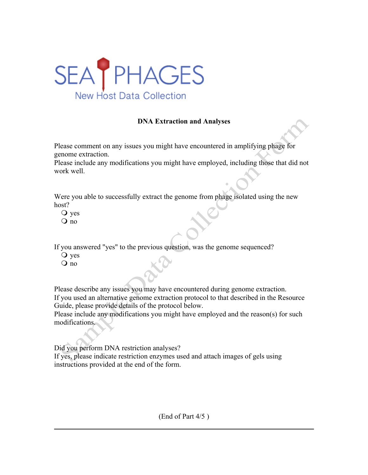

## **DNA Extraction and Analyses**

Please comment on any issues you might have encountered in amplifying phage for genome extraction.

Please include any modifications you might have employed, including those that did not work well.

Were you able to successfully extract the genome from phage isolated using the new host?

- Q yes
- no

If you answered "yes" to the previous question, was the genome sequenced?

- Q yes
- no

Please describe any issues you may have encountered during genome extraction. If you used an alternative genome extraction protocol to that described in the Resource Guide, please provide details of the protocol below.

Please include any modifications you might have employed and the reason(s) for such modifications.

Did you perform DNA restriction analyses?

If yes, please indicate restriction enzymes used and attach images of gels using instructions provided at the end of the form.

(End of Part 4/5 )